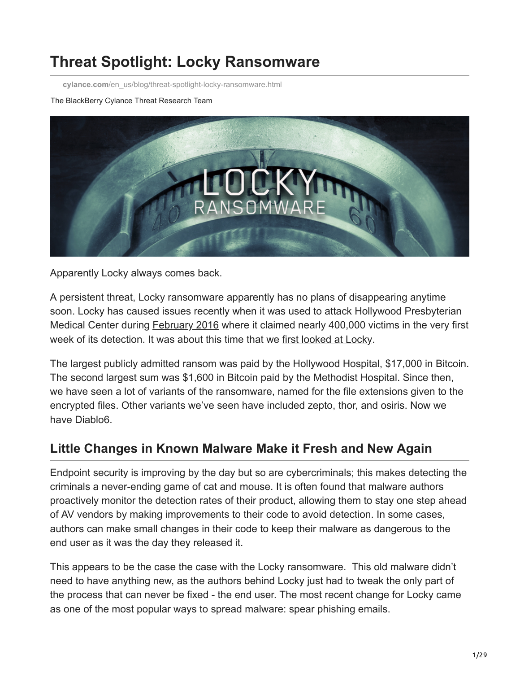# **Threat Spotlight: Locky Ransomware**

**cylance.com**[/en\\_us/blog/threat-spotlight-locky-ransomware.html](https://www.cylance.com/en_us/blog/threat-spotlight-locky-ransomware.html)

The BlackBerry Cylance Threat Research Team



Apparently Locky always comes back.

A persistent threat, Locky ransomware apparently has no plans of disappearing anytime soon. Locky has caused issues recently when it was used to attack Hollywood Presbyterian Medical Center during **February 2016** where it claimed nearly 400,000 victims in the very first week of its detection. It was about this time that we [first looked at Locky.](https://www.cylance.com/locky-holds-worlds-critical-systems-to-ransom)

The largest publicly admitted ransom was paid by the Hollywood Hospital, \$17,000 in Bitcoin. The second largest sum was \$1,600 in Bitcoin paid by the [Methodist Hospital.](https://www.trendmicro.com/vinfo/us/security/news/cyber-attacks/locky-ransomware-strain-led-kentucky-hospital-to-an-internal-state-of-emergency) Since then, we have seen a lot of variants of the ransomware, named for the file extensions given to the encrypted files. Other variants we've seen have included zepto, thor, and osiris. Now we have Diablo6.

### **Little Changes in Known Malware Make it Fresh and New Again**

Endpoint security is improving by the day but so are cybercriminals; this makes detecting the criminals a never-ending game of cat and mouse. It is often found that malware authors proactively monitor the detection rates of their product, allowing them to stay one step ahead of AV vendors by making improvements to their code to avoid detection. In some cases, authors can make small changes in their code to keep their malware as dangerous to the end user as it was the day they released it.

This appears to be the case the case with the Locky ransomware. This old malware didn't need to have anything new, as the authors behind Locky just had to tweak the only part of the process that can never be fixed - the end user. The most recent change for Locky came as one of the most popular ways to spread malware: spear phishing emails.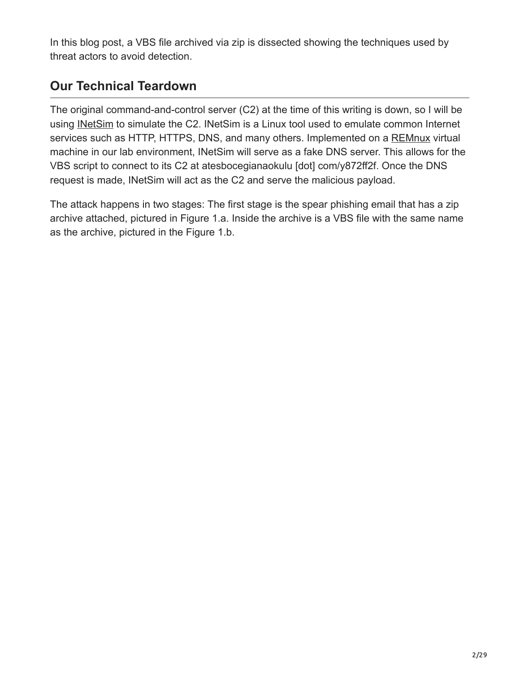In this blog post, a VBS file archived via zip is dissected showing the techniques used by threat actors to avoid detection.

# **Our Technical Teardown**

The original command-and-control server (C2) at the time of this writing is down, so I will be using [INetSim](http://www.inetsim.org/) to simulate the C2. INetSim is a Linux tool used to emulate common Internet services such as HTTP, HTTPS, DNS, and many others. Implemented on a [REMnux](https://remnux.org/) virtual machine in our lab environment, INetSim will serve as a fake DNS server. This allows for the VBS script to connect to its C2 at atesbocegianaokulu [dot] com/y872ff2f. Once the DNS request is made, INetSim will act as the C2 and serve the malicious payload.

The attack happens in two stages: The first stage is the spear phishing email that has a zip archive attached, pictured in Figure 1.a. Inside the archive is a VBS file with the same name as the archive, pictured in the Figure 1.b.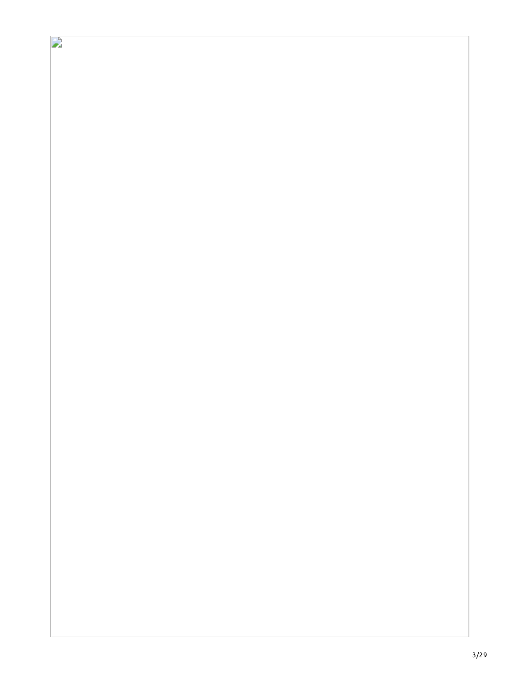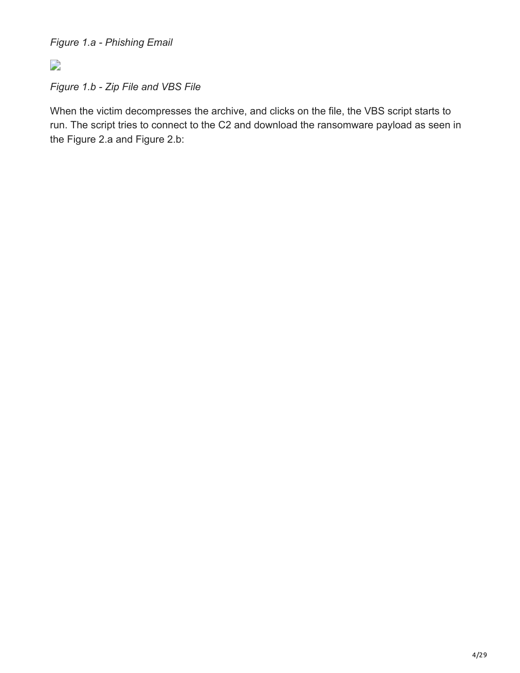*Figure 1.a - Phishing Email*

### $\overline{\phantom{a}}$

### *Figure 1.b - Zip File and VBS File*

When the victim decompresses the archive, and clicks on the file, the VBS script starts to run. The script tries to connect to the C2 and download the ransomware payload as seen in the Figure 2.a and Figure 2.b: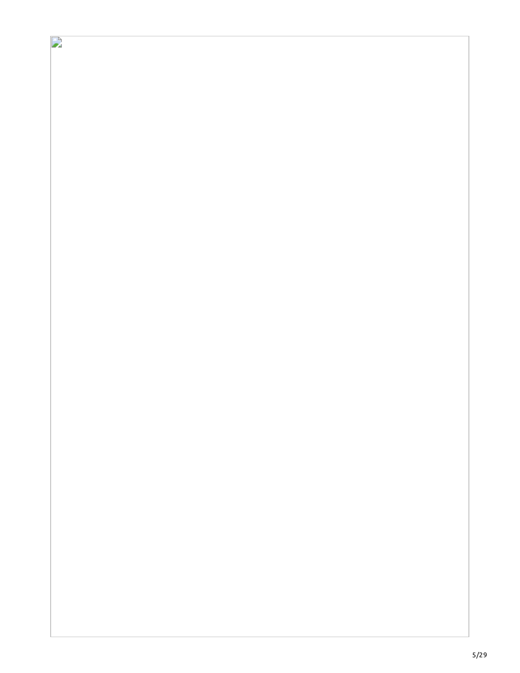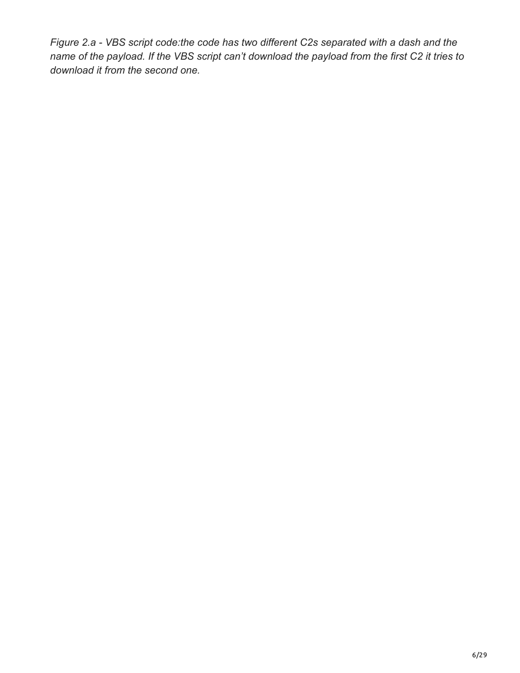*Figure 2.a - VBS script code:the code has two different C2s separated with a dash and the name of the payload. If the VBS script can't download the payload from the first C2 it tries to download it from the second one.*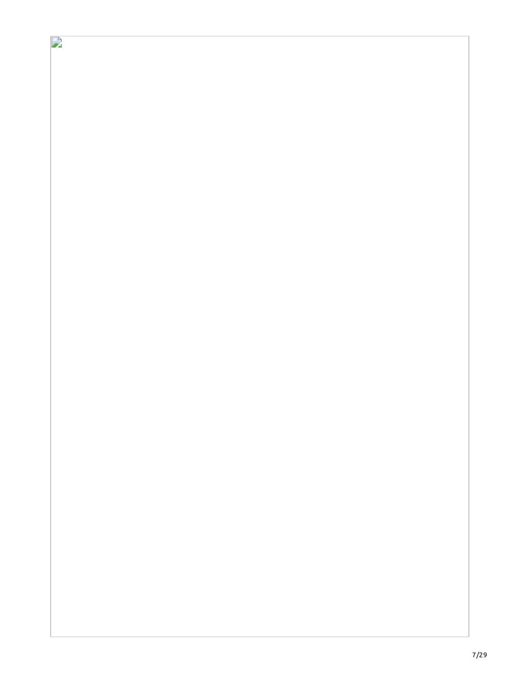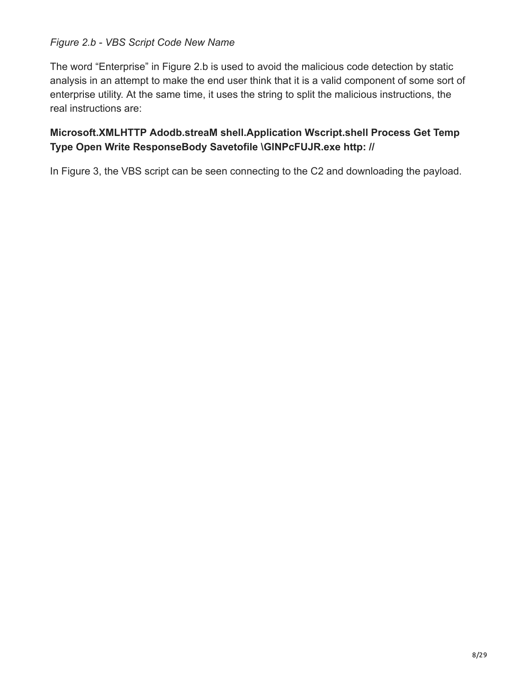#### *Figure 2.b - VBS Script Code New Name*

The word "Enterprise" in Figure 2.b is used to avoid the malicious code detection by static analysis in an attempt to make the end user think that it is a valid component of some sort of enterprise utility. At the same time, it uses the string to split the malicious instructions, the real instructions are:

### **Microsoft.XMLHTTP Adodb.streaM shell.Application Wscript.shell Process Get Temp Type Open Write ResponseBody Savetofile \GlNPcFUJR.exe http: //**

In Figure 3, the VBS script can be seen connecting to the C2 and downloading the payload.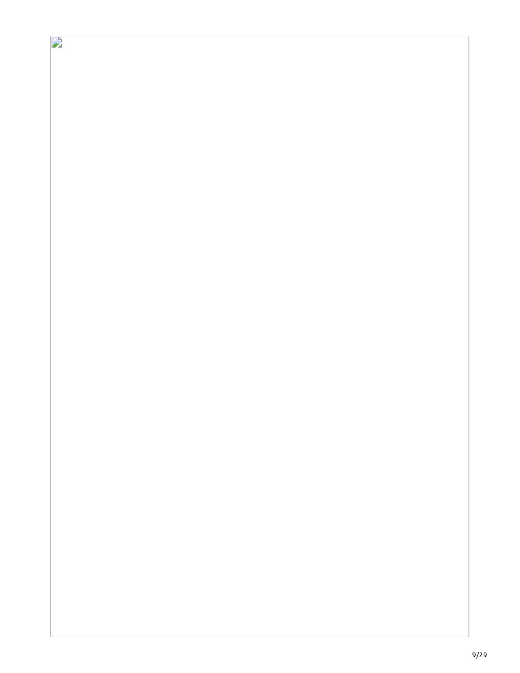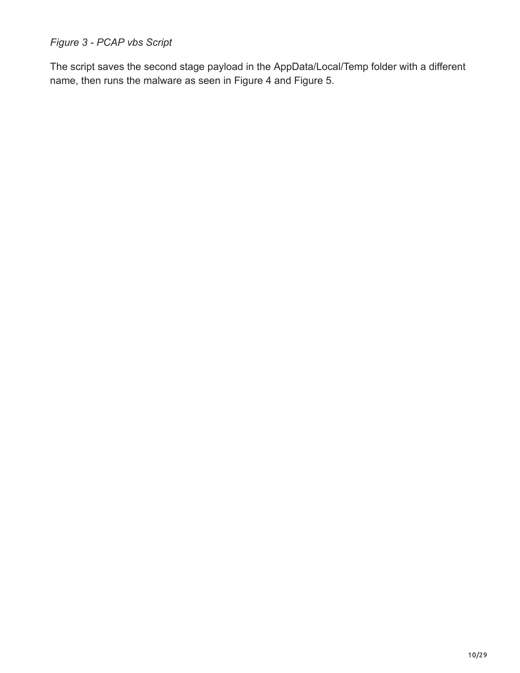#### *Figure 3 - PCAP vbs Script*

The script saves the second stage payload in the AppData/Local/Temp folder with a different name, then runs the malware as seen in Figure 4 and Figure 5.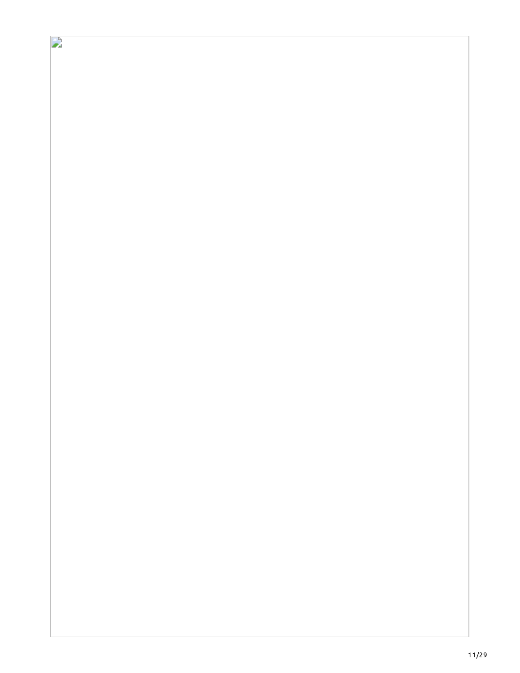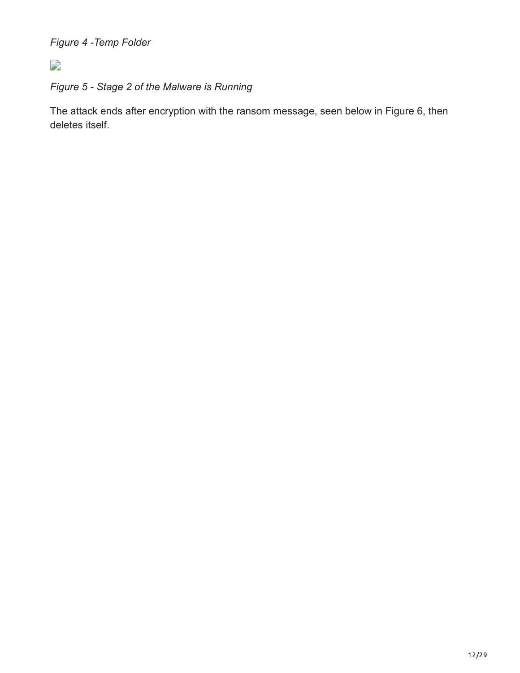### *Figure 4 -Temp Folder*

# $\overline{\phantom{a}}$

### *Figure 5 - Stage 2 of the Malware is Running*

The attack ends after encryption with the ransom message, seen below in Figure 6, then deletes itself.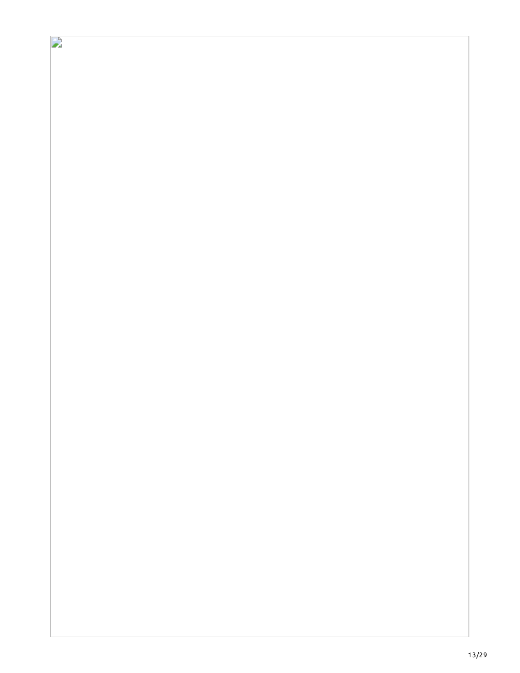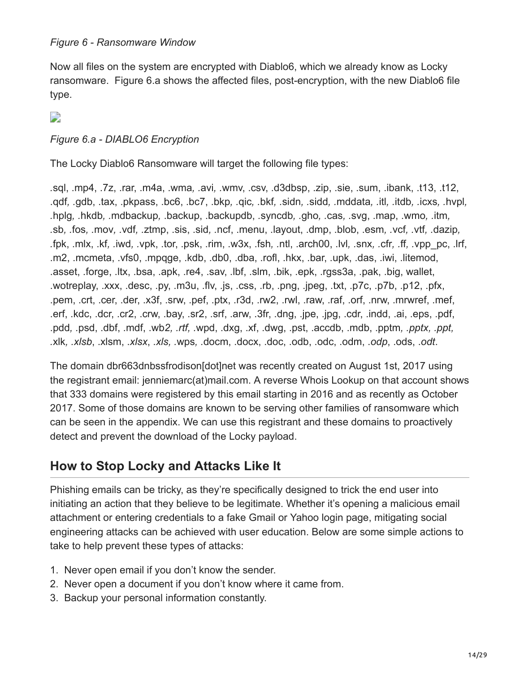Now all files on the system are encrypted with Diablo6, which we already know as Locky ransomware. Figure 6.a shows the affected files, post-encryption, with the new Diablo6 file type.

### $\Box$

### *Figure 6.a - DIABLO6 Encryption*

The Locky Diablo6 Ransomware will target the following file types:

*.*sql, .mp4, .7z, .rar, .m4a, .wma*, .*avi*, .*wmv, .csv, .d3dbsp, .zip, .sie, .sum, .ibank, .t13, .t12, .qdf*, .*gdb, .tax, .pkpass, .bc6, .bc7, .bkp*, .*qic*, .*bkf*, .*sidn*, .*sidd*, .*mddata*, .*itl*, .*itdb*, .*icxs*, .*hvpl*, .*hplg*, .*hkdb*, .*mdbackup*,* .backup, .backupdb, *.*syncdb*, .*gho*, .*cas*, .*svg, .map, .wmo*, .*itm*, .*sb*, .*fos*, .*mov*, .*vdf*, .*ztmp, .sis, .sid*, .*ncf, .menu, .layout, .dmp, .blob, .esm*, .*vcf*, .*vtf*, .*dazip*, .*fpk, .mlx, .kf*, .*iwd*, .*vpk, .tor, .psk, .rim, .w3x, .fsh*, .*ntl, .arch00, .lvl*, .*snx*, .*cfr*, .*ff*, .*vpp\_pc, .lrf, .m2, .mcmeta, .vfs0, .mpqge, .kdb, .db0, .dba, .rofl, .hkx, .bar, .upk, .das, .iwi, .litemod, .asset, .forge, .ltx, .bsa, .apk, .re4, .sav, .lbf, .slm, .bik, .epk, .rgss3a, .pak, .big, wallet, .wotreplay, .xxx, .desc, .py, .m3u, .flv, .js, .css, .rb, .png, .jpeg, .txt, .p7c, .p7b, .p12, .pfx, .pem, .crt, .cer, .der, .x3f, .srw, .pef, .ptx, .r3d, .rw2, .rwl, .raw, .raf, .orf, .nrw, .mrwref, .mef, .erf, .kdc, .dcr, .cr2, .crw, .bay, .sr2, .srf, .arw, .3fr, .dng, .jpe, .jpg, .cdr, .indd, .ai, .eps, .pdf, .pdd*, .*psd, .dbf, .mdf, .wb*2, .rtf, .*wpd, .dxg, .xf, .dwg, .pst, .accdb, .mdb, .pptm*, .pptx, .ppt, .*xlk*, .xlsb*, .xlsm, .*xlsx*, .*xls, .*wps*, .*docm, .docx, .doc, .odb, .odc, .odm, .*odp*, .ods, .*odt*.

The domain dbr663dnbssfrodison[dot]net was recently created on August 1st, 2017 using the registrant email: jenniemarc(at)mail.com. A reverse Whois Lookup on that account shows that 333 domains were registered by this email starting in 2016 and as recently as October 2017. Some of those domains are known to be serving other families of ransomware which can be seen in the appendix. We can use this registrant and these domains to proactively detect and prevent the download of the Locky payload.

# **How to Stop Locky and Attacks Like It**

Phishing emails can be tricky, as they're specifically designed to trick the end user into initiating an action that they believe to be legitimate. Whether it's opening a malicious email attachment or entering credentials to a fake Gmail or Yahoo login page, mitigating social engineering attacks can be achieved with user education. Below are some simple actions to take to help prevent these types of attacks:

- 1. Never open email if you don't know the sender.
- 2. Never open a document if you don't know where it came from.
- 3. Backup your personal information constantly.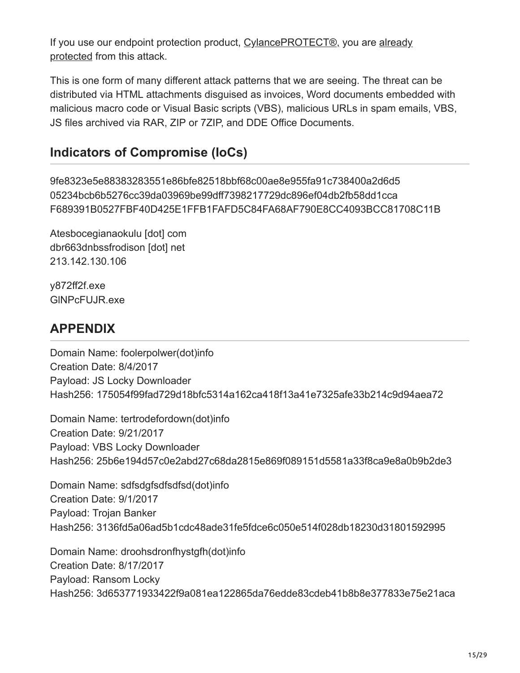[If you use our endpoint protection product, CylancePROTECT®, you are already](https://www.cylance.com/en_us/blog/cylance-vs-locky-ransomware.html) protected from this attack.

This is one form of many different attack patterns that we are seeing. The threat can be distributed via HTML attachments disguised as invoices, Word documents embedded with malicious macro code or Visual Basic scripts (VBS), malicious URLs in spam emails, VBS, JS files archived via RAR, ZIP or 7ZIP, and DDE Office Documents.

### **Indicators of Compromise (IoCs)**

9fe8323e5e88383283551e86bfe82518bbf68c00ae8e955fa91c738400a2d6d5 05234bcb6b5276cc39da03969be99dff7398217729dc896ef04db2fb58dd1cca F689391B0527FBF40D425E1FFB1FAFD5C84FA68AF790E8CC4093BCC81708C11B

Atesbocegianaokulu [dot] com dbr663dnbssfrodison [dot] net 213.142.130.106

y872ff2f.exe GlNPcFUJR.exe

# **APPENDIX**

Domain Name: foolerpolwer(dot)info Creation Date: 8/4/2017 Payload: JS Locky Downloader Hash256: 175054f99fad729d18bfc5314a162ca418f13a41e7325afe33b214c9d94aea72

Domain Name: tertrodefordown(dot)info Creation Date: 9/21/2017 Payload: VBS Locky Downloader Hash256: 25b6e194d57c0e2abd27c68da2815e869f089151d5581a33f8ca9e8a0b9b2de3

Domain Name: sdfsdgfsdfsdfsd(dot)info Creation Date: 9/1/2017 Payload: Trojan Banker Hash256: 3136fd5a06ad5b1cdc48ade31fe5fdce6c050e514f028db18230d31801592995

Domain Name: droohsdronfhystgfh(dot)info Creation Date: 8/17/2017 Payload: Ransom Locky Hash256: 3d653771933422f9a081ea122865da76edde83cdeb41b8b8e377833e75e21aca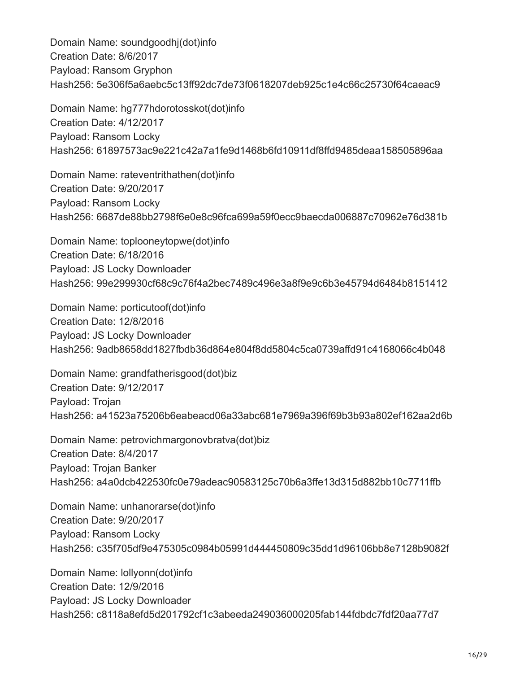Domain Name: soundgoodhj(dot)info Creation Date: 8/6/2017 Payload: Ransom Gryphon Hash256: 5e306f5a6aebc5c13ff92dc7de73f0618207deb925c1e4c66c25730f64caeac9

Domain Name: hg777hdorotosskot(dot)info Creation Date: 4/12/2017 Payload: Ransom Locky Hash256: 61897573ac9e221c42a7a1fe9d1468b6fd10911df8ffd9485deaa158505896aa

Domain Name: rateventrithathen(dot)info Creation Date: 9/20/2017 Payload: Ransom Locky Hash256: 6687de88bb2798f6e0e8c96fca699a59f0ecc9baecda006887c70962e76d381b

Domain Name: toplooneytopwe(dot)info Creation Date: 6/18/2016 Payload: JS Locky Downloader Hash256: 99e299930cf68c9c76f4a2bec7489c496e3a8f9e9c6b3e45794d6484b8151412

Domain Name: porticutoof(dot)info Creation Date: 12/8/2016 Payload: JS Locky Downloader Hash256: 9adb8658dd1827fbdb36d864e804f8dd5804c5ca0739affd91c4168066c4b048

Domain Name: grandfatherisgood(dot)biz Creation Date: 9/12/2017 Payload: Trojan Hash256: a41523a75206b6eabeacd06a33abc681e7969a396f69b3b93a802ef162aa2d6b

Domain Name: petrovichmargonovbratva(dot)biz Creation Date: 8/4/2017 Payload: Trojan Banker Hash256: a4a0dcb422530fc0e79adeac90583125c70b6a3ffe13d315d882bb10c7711ffb

Domain Name: unhanorarse(dot)info Creation Date: 9/20/2017 Payload: Ransom Locky Hash256: c35f705df9e475305c0984b05991d444450809c35dd1d96106bb8e7128b9082f

Domain Name: lollyonn(dot)info Creation Date: 12/9/2016 Payload: JS Locky Downloader Hash256: c8118a8efd5d201792cf1c3abeeda249036000205fab144fdbdc7fdf20aa77d7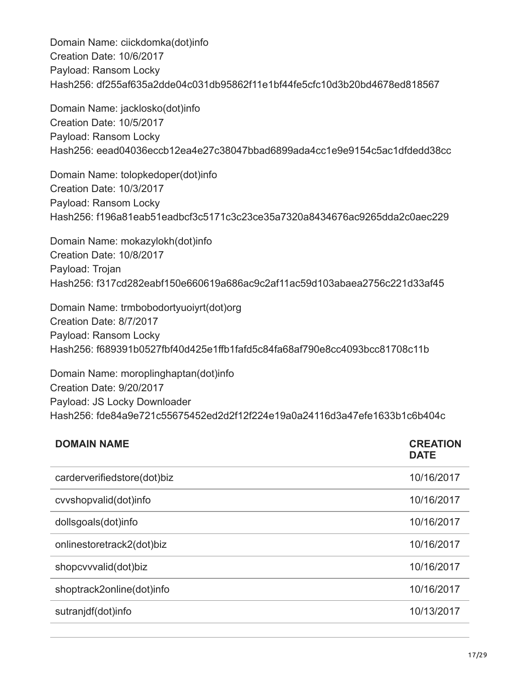Domain Name: ciickdomka(dot)info Creation Date: 10/6/2017 Payload: Ransom Locky Hash256: df255af635a2dde04c031db95862f11e1bf44fe5cfc10d3b20bd4678ed818567

Domain Name: jacklosko(dot)info Creation Date: 10/5/2017 Payload: Ransom Locky Hash256: eead04036eccb12ea4e27c38047bbad6899ada4cc1e9e9154c5ac1dfdedd38cc

Domain Name: tolopkedoper(dot)info Creation Date: 10/3/2017 Payload: Ransom Locky Hash256: f196a81eab51eadbcf3c5171c3c23ce35a7320a8434676ac9265dda2c0aec229

Domain Name: mokazylokh(dot)info Creation Date: 10/8/2017 Payload: Trojan Hash256: f317cd282eabf150e660619a686ac9c2af11ac59d103abaea2756c221d33af45

Domain Name: trmbobodortyuoiyrt(dot)org Creation Date: 8/7/2017 Payload: Ransom Locky Hash256: f689391b0527fbf40d425e1ffb1fafd5c84fa68af790e8cc4093bcc81708c11b

Domain Name: moroplinghaptan(dot)info Creation Date: 9/20/2017 Payload: JS Locky Downloader Hash256: fde84a9e721c55675452ed2d2f12f224e19a0a24116d3a47efe1633b1c6b404c

| <b>DOMAIN NAME</b>          | <b>CREATION</b><br><b>DATE</b> |
|-----------------------------|--------------------------------|
| carderverifiedstore(dot)biz | 10/16/2017                     |
| cvvshopvalid(dot)info       | 10/16/2017                     |
| dollsgoals(dot)info         | 10/16/2017                     |
| onlinestoretrack2(dot)biz   | 10/16/2017                     |
| shopcvvvalid(dot)biz        | 10/16/2017                     |
| shoptrack2online(dot)info   | 10/16/2017                     |
| sutranidf(dot)info          | 10/13/2017                     |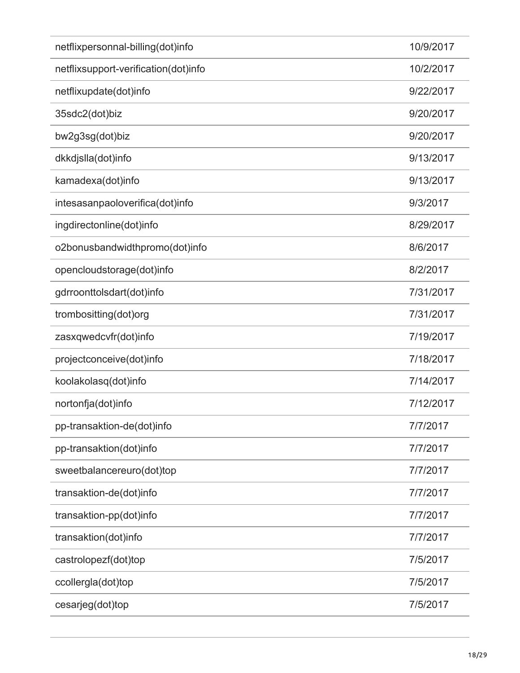| netflixpersonnal-billing(dot)info    | 10/9/2017 |
|--------------------------------------|-----------|
| netflixsupport-verification(dot)info | 10/2/2017 |
| netflixupdate(dot)info               | 9/22/2017 |
| 35sdc2(dot)biz                       | 9/20/2017 |
| bw2g3sg(dot)biz                      | 9/20/2017 |
| dkkdjslla(dot)info                   | 9/13/2017 |
| kamadexa(dot)info                    | 9/13/2017 |
| intesasanpaoloverifica(dot)info      | 9/3/2017  |
| ingdirectonline(dot)info             | 8/29/2017 |
| o2bonusbandwidthpromo(dot)info       | 8/6/2017  |
| opencloudstorage(dot)info            | 8/2/2017  |
| gdrroonttolsdart(dot)info            | 7/31/2017 |
| trombositting(dot)org                | 7/31/2017 |
| zasxqwedcvfr(dot)info                | 7/19/2017 |
| projectconceive(dot)info             | 7/18/2017 |
| koolakolasq(dot)info                 | 7/14/2017 |
| nortonfja(dot)info                   | 7/12/2017 |
| pp-transaktion-de(dot)info           | 7/7/2017  |
| pp-transaktion(dot)info              | 7/7/2017  |
| sweetbalancereuro(dot)top            | 7/7/2017  |
| transaktion-de(dot)info              | 7/7/2017  |
| transaktion-pp(dot)info              | 7/7/2017  |
| transaktion(dot)info                 | 7/7/2017  |
| castrolopezf(dot)top                 | 7/5/2017  |
| ccollergla(dot)top                   | 7/5/2017  |
| cesarjeg(dot)top                     | 7/5/2017  |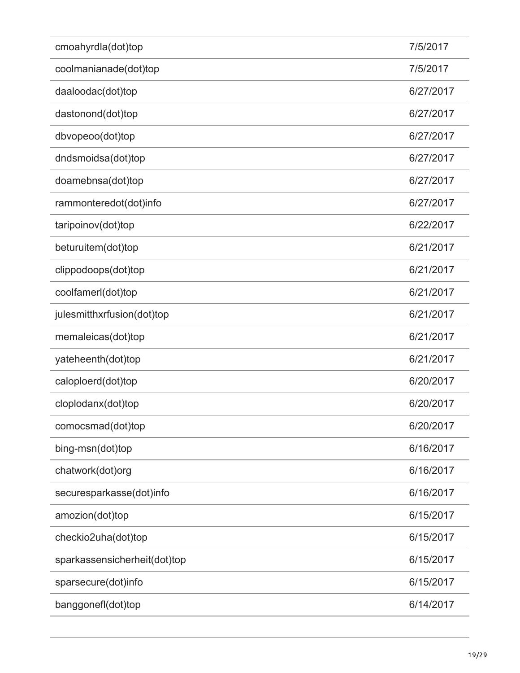| cmoahyrdla(dot)top           | 7/5/2017  |
|------------------------------|-----------|
| coolmanianade(dot)top        | 7/5/2017  |
| daaloodac(dot)top            | 6/27/2017 |
| dastonond(dot)top            | 6/27/2017 |
| dbvopeoo(dot)top             | 6/27/2017 |
| dndsmoidsa(dot)top           | 6/27/2017 |
| doamebnsa(dot)top            | 6/27/2017 |
| rammonteredot(dot)info       | 6/27/2017 |
| taripoinov(dot)top           | 6/22/2017 |
| beturuitem(dot)top           | 6/21/2017 |
| clippodoops(dot)top          | 6/21/2017 |
| coolfamerl(dot)top           | 6/21/2017 |
| julesmitthxrfusion(dot)top   | 6/21/2017 |
| memaleicas(dot)top           | 6/21/2017 |
| yateheenth(dot)top           | 6/21/2017 |
| caloploerd(dot)top           | 6/20/2017 |
| cloplodanx(dot)top           | 6/20/2017 |
| comocsmad(dot)top            | 6/20/2017 |
| bing-msn(dot)top             | 6/16/2017 |
| chatwork(dot)org             | 6/16/2017 |
| securesparkasse(dot)info     | 6/16/2017 |
| amozion(dot)top              | 6/15/2017 |
| checkio2uha(dot)top          | 6/15/2017 |
| sparkassensicherheit(dot)top | 6/15/2017 |
| sparsecure(dot)info          | 6/15/2017 |
| banggonefl(dot)top           | 6/14/2017 |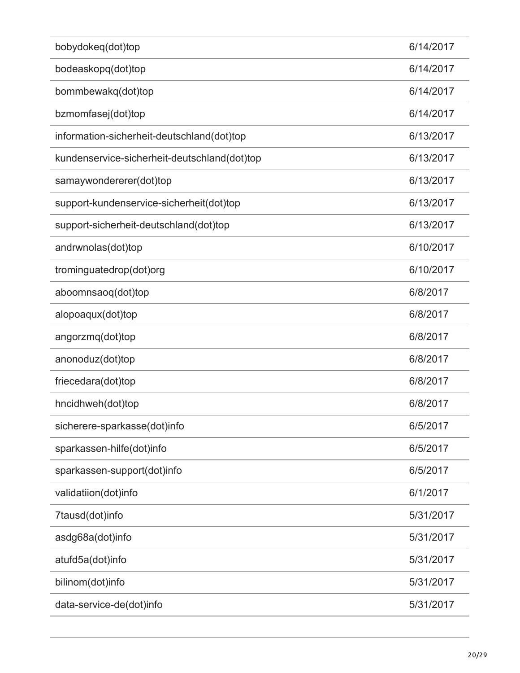| bobydokeq(dot)top                            | 6/14/2017 |
|----------------------------------------------|-----------|
| bodeaskopq(dot)top                           | 6/14/2017 |
| bommbewakq(dot)top                           | 6/14/2017 |
| bzmomfasej(dot)top                           | 6/14/2017 |
| information-sicherheit-deutschland(dot)top   | 6/13/2017 |
| kundenservice-sicherheit-deutschland(dot)top | 6/13/2017 |
| samaywondererer(dot)top                      | 6/13/2017 |
| support-kundenservice-sicherheit(dot)top     | 6/13/2017 |
| support-sicherheit-deutschland(dot)top       | 6/13/2017 |
| andrwnolas(dot)top                           | 6/10/2017 |
| trominguatedrop(dot)org                      | 6/10/2017 |
| aboomnsaoq(dot)top                           | 6/8/2017  |
| alopoaqux(dot)top                            | 6/8/2017  |
| angorzmq(dot)top                             | 6/8/2017  |
| anonoduz(dot)top                             | 6/8/2017  |
| friecedara(dot)top                           | 6/8/2017  |
| hncidhweh(dot)top                            | 6/8/2017  |
| sicherere-sparkasse(dot)info                 | 6/5/2017  |
| sparkassen-hilfe(dot)info                    | 6/5/2017  |
| sparkassen-support(dot)info                  | 6/5/2017  |
| validatiion(dot)info                         | 6/1/2017  |
| 7tausd(dot)info                              | 5/31/2017 |
| asdg68a(dot)info                             | 5/31/2017 |
| atufd5a(dot)info                             | 5/31/2017 |
| bilinom(dot)info                             | 5/31/2017 |
| data-service-de(dot)info                     | 5/31/2017 |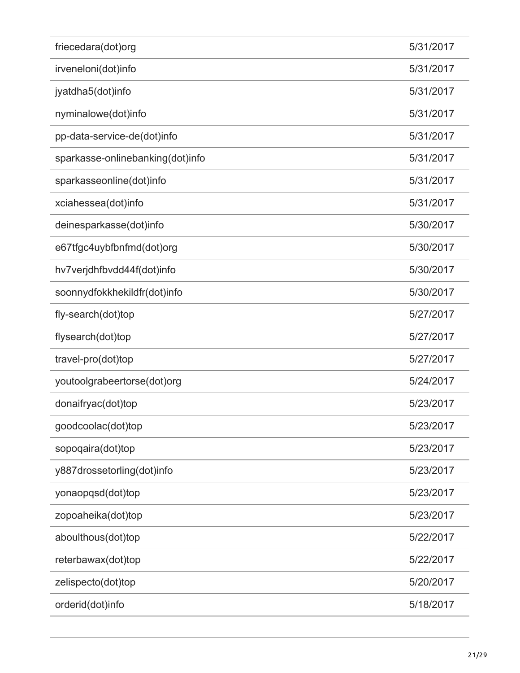| friecedara(dot)org               | 5/31/2017 |
|----------------------------------|-----------|
| irveneloni(dot)info              | 5/31/2017 |
| jyatdha5(dot)info                | 5/31/2017 |
| nyminalowe(dot)info              | 5/31/2017 |
| pp-data-service-de(dot)info      | 5/31/2017 |
| sparkasse-onlinebanking(dot)info | 5/31/2017 |
| sparkasseonline(dot)info         | 5/31/2017 |
| xciahessea(dot)info              | 5/31/2017 |
| deinesparkasse(dot)info          | 5/30/2017 |
| e67tfgc4uybfbnfmd(dot)org        | 5/30/2017 |
| hv7verjdhfbvdd44f(dot)info       | 5/30/2017 |
| soonnydfokkhekildfr(dot)info     | 5/30/2017 |
| fly-search(dot)top               | 5/27/2017 |
| flysearch(dot)top                | 5/27/2017 |
| travel-pro(dot)top               | 5/27/2017 |
| youtoolgrabeertorse(dot)org      | 5/24/2017 |
| donaifryac(dot)top               | 5/23/2017 |
| goodcoolac(dot)top               | 5/23/2017 |
| sopoqaira(dot)top                | 5/23/2017 |
| y887drossetorling(dot)info       | 5/23/2017 |
| yonaopqsd(dot)top                | 5/23/2017 |
| zopoaheika(dot)top               | 5/23/2017 |
| aboulthous(dot)top               | 5/22/2017 |
| reterbawax(dot)top               | 5/22/2017 |
| zelispecto(dot)top               | 5/20/2017 |
| orderid(dot)info                 | 5/18/2017 |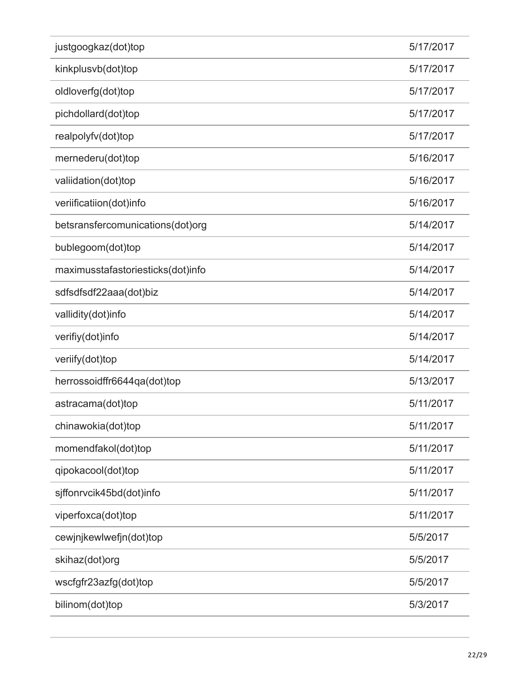| justgoogkaz(dot)top               | 5/17/2017 |
|-----------------------------------|-----------|
| kinkplusvb(dot)top                | 5/17/2017 |
| oldloverfg(dot)top                | 5/17/2017 |
| pichdollard(dot)top               | 5/17/2017 |
| realpolyfv(dot)top                | 5/17/2017 |
| mernederu(dot)top                 | 5/16/2017 |
| valiidation(dot)top               | 5/16/2017 |
| veriificatiion(dot)info           | 5/16/2017 |
| betsransfercomunications(dot)org  | 5/14/2017 |
| bublegoom(dot)top                 | 5/14/2017 |
| maximusstafastoriesticks(dot)info | 5/14/2017 |
| sdfsdfsdf22aaa(dot)biz            | 5/14/2017 |
| vallidity(dot)info                | 5/14/2017 |
| verifiy(dot)info                  | 5/14/2017 |
| veriify(dot)top                   | 5/14/2017 |
| herrossoidffr6644qa(dot)top       | 5/13/2017 |
| astracama(dot)top                 | 5/11/2017 |
| chinawokia(dot)top                | 5/11/2017 |
| momendfakol(dot)top               | 5/11/2017 |
| qipokacool(dot)top                | 5/11/2017 |
| sjffonrvcik45bd(dot)info          | 5/11/2017 |
| viperfoxca(dot)top                | 5/11/2017 |
| cewjnjkewlwefjn(dot)top           | 5/5/2017  |
| skihaz(dot)org                    | 5/5/2017  |
| wscfgfr23azfg(dot)top             | 5/5/2017  |
| bilinom(dot)top                   | 5/3/2017  |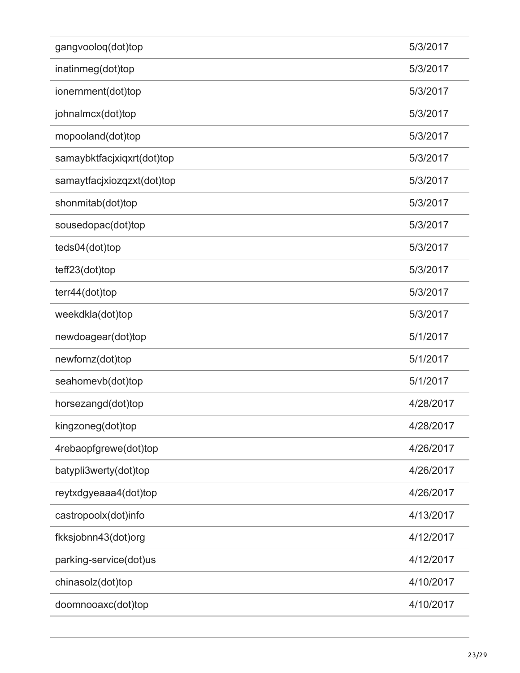| gangvooloq(dot)top         | 5/3/2017  |
|----------------------------|-----------|
| inatinmeg(dot)top          | 5/3/2017  |
| ionernment(dot)top         | 5/3/2017  |
| johnalmcx(dot)top          | 5/3/2017  |
| mopooland(dot)top          | 5/3/2017  |
| samaybktfacjxiqxrt(dot)top | 5/3/2017  |
| samaytfacjxiozqzxt(dot)top | 5/3/2017  |
| shonmitab(dot)top          | 5/3/2017  |
| sousedopac(dot)top         | 5/3/2017  |
| teds04(dot)top             | 5/3/2017  |
| teff23(dot)top             | 5/3/2017  |
| terr44(dot)top             | 5/3/2017  |
| weekdkla(dot)top           | 5/3/2017  |
| newdoagear(dot)top         | 5/1/2017  |
| newfornz(dot)top           | 5/1/2017  |
| seahomevb(dot)top          | 5/1/2017  |
| horsezangd(dot)top         | 4/28/2017 |
| kingzoneg(dot)top          | 4/28/2017 |
| 4rebaopfgrewe(dot)top      | 4/26/2017 |
| batypli3werty(dot)top      | 4/26/2017 |
| reytxdgyeaaa4(dot)top      | 4/26/2017 |
| castropoolx(dot)info       | 4/13/2017 |
| fkksjobnn43(dot)org        | 4/12/2017 |
| parking-service(dot)us     | 4/12/2017 |
| chinasolz(dot)top          | 4/10/2017 |
| doomnooaxc(dot)top         | 4/10/2017 |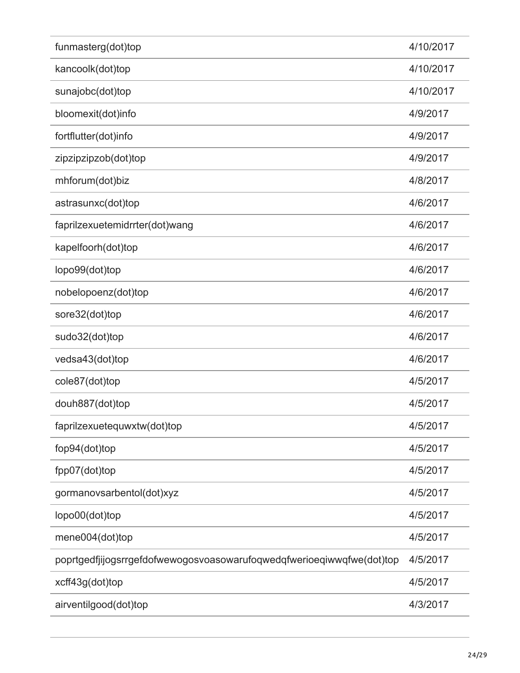| funmasterg(dot)top                                                    | 4/10/2017 |
|-----------------------------------------------------------------------|-----------|
| kancoolk(dot)top                                                      | 4/10/2017 |
| sunajobc(dot)top                                                      | 4/10/2017 |
| bloomexit(dot)info                                                    | 4/9/2017  |
| fortflutter(dot)info                                                  | 4/9/2017  |
| zipzipzipzob(dot)top                                                  | 4/9/2017  |
| mhforum(dot)biz                                                       | 4/8/2017  |
| astrasunxc(dot)top                                                    | 4/6/2017  |
| faprilzexuetemidrrter(dot)wang                                        | 4/6/2017  |
| kapelfoorh(dot)top                                                    | 4/6/2017  |
| lopo99(dot)top                                                        | 4/6/2017  |
| nobelopoenz(dot)top                                                   | 4/6/2017  |
| sore32(dot)top                                                        | 4/6/2017  |
| sudo32(dot)top                                                        | 4/6/2017  |
| vedsa43(dot)top                                                       | 4/6/2017  |
| cole87(dot)top                                                        | 4/5/2017  |
| douh887(dot)top                                                       | 4/5/2017  |
| faprilzexuetequwxtw(dot)top                                           | 4/5/2017  |
| fop94(dot)top                                                         | 4/5/2017  |
| fpp07(dot)top                                                         | 4/5/2017  |
| gormanovsarbentol(dot)xyz                                             | 4/5/2017  |
| lopo00(dot)top                                                        | 4/5/2017  |
| mene004(dot)top                                                       | 4/5/2017  |
| poprtgedfjijogsrrgefdofwewogosvoasowarufoqwedqfwerioeqiwwqfwe(dot)top | 4/5/2017  |
| xcff43g(dot)top                                                       | 4/5/2017  |
| airventilgood(dot)top                                                 | 4/3/2017  |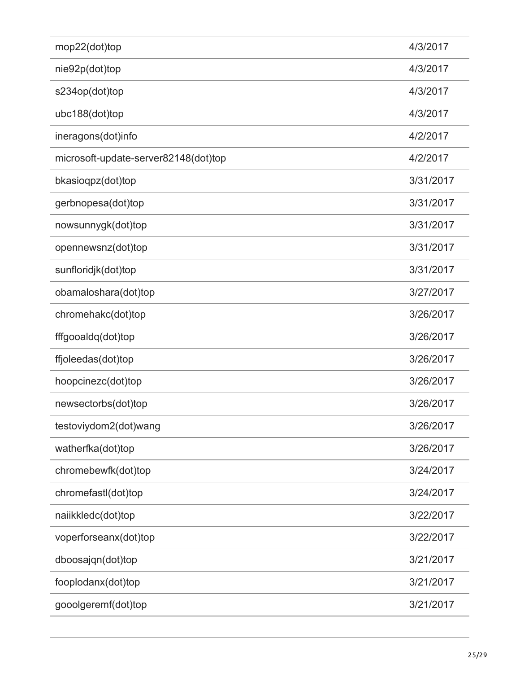| mop22(dot)top                        | 4/3/2017  |
|--------------------------------------|-----------|
| nie92p(dot)top                       | 4/3/2017  |
| s234op(dot)top                       | 4/3/2017  |
| ubc188(dot)top                       | 4/3/2017  |
| ineragons(dot)info                   | 4/2/2017  |
| microsoft-update-server82148(dot)top | 4/2/2017  |
| bkasioqpz(dot)top                    | 3/31/2017 |
| gerbnopesa(dot)top                   | 3/31/2017 |
| nowsunnygk(dot)top                   | 3/31/2017 |
| opennewsnz(dot)top                   | 3/31/2017 |
| sunfloridjk(dot)top                  | 3/31/2017 |
| obamaloshara(dot)top                 | 3/27/2017 |
| chromehakc(dot)top                   | 3/26/2017 |
| fffgooaldq(dot)top                   | 3/26/2017 |
| ffjoleedas(dot)top                   | 3/26/2017 |
| hoopcinezc(dot)top                   | 3/26/2017 |
| newsectorbs(dot)top                  | 3/26/2017 |
| testoviydom2(dot)wang                | 3/26/2017 |
| watherfka(dot)top                    | 3/26/2017 |
| chromebewfk(dot)top                  | 3/24/2017 |
| chromefastl(dot)top                  | 3/24/2017 |
| naiikkledc(dot)top                   | 3/22/2017 |
| voperforseanx(dot)top                | 3/22/2017 |
| dboosajqn(dot)top                    | 3/21/2017 |
| fooplodanx(dot)top                   | 3/21/2017 |
| gooolgeremf(dot)top                  | 3/21/2017 |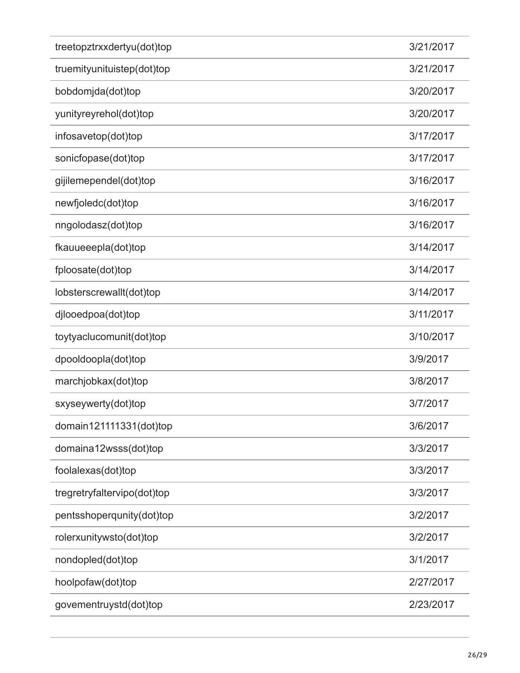| treetopztrxxdertyu(dot)top  | 3/21/2017 |
|-----------------------------|-----------|
| truemityunituistep(dot)top  | 3/21/2017 |
| bobdomjda(dot)top           | 3/20/2017 |
| yunityreyrehol(dot)top      | 3/20/2017 |
| infosavetop(dot)top         | 3/17/2017 |
| sonicfopase(dot)top         | 3/17/2017 |
| gijilemependel(dot)top      | 3/16/2017 |
| newfjoledc(dot)top          | 3/16/2017 |
| nngolodasz(dot)top          | 3/16/2017 |
| fkauueeepla(dot)top         | 3/14/2017 |
| fploosate(dot)top           | 3/14/2017 |
| lobsterscrewallt(dot)top    | 3/14/2017 |
| djlooedpoa(dot)top          | 3/11/2017 |
| toytyaclucomunit(dot)top    | 3/10/2017 |
| dpooldoopla(dot)top         | 3/9/2017  |
| marchjobkax(dot)top         | 3/8/2017  |
| sxyseywerty(dot)top         | 3/7/2017  |
| domain121111331(dot)top     | 3/6/2017  |
| domaina12wsss(dot)top       | 3/3/2017  |
| foolalexas(dot)top          | 3/3/2017  |
| tregretryfaltervipo(dot)top | 3/3/2017  |
| pentsshoperqunity(dot)top   | 3/2/2017  |
| rolerxunitywsto(dot)top     | 3/2/2017  |
| nondopled(dot)top           | 3/1/2017  |
| hoolpofaw(dot)top           | 2/27/2017 |
| govementruystd(dot)top      | 2/23/2017 |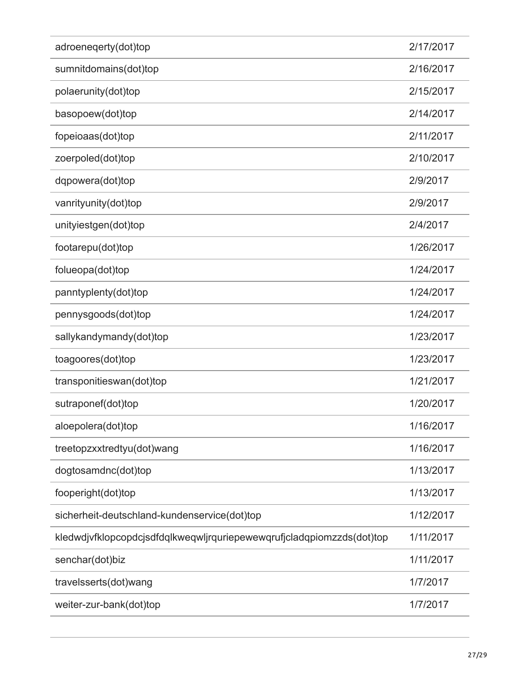| adroeneqerty(dot)top                                                  | 2/17/2017 |
|-----------------------------------------------------------------------|-----------|
| sumnitdomains(dot)top                                                 | 2/16/2017 |
| polaerunity(dot)top                                                   | 2/15/2017 |
| basopoew(dot)top                                                      | 2/14/2017 |
| fopeioaas(dot)top                                                     | 2/11/2017 |
| zoerpoled(dot)top                                                     | 2/10/2017 |
| dqpowera(dot)top                                                      | 2/9/2017  |
| vanrityunity(dot)top                                                  | 2/9/2017  |
| unityiestgen(dot)top                                                  | 2/4/2017  |
| footarepu(dot)top                                                     | 1/26/2017 |
| folueopa(dot)top                                                      | 1/24/2017 |
| panntyplenty(dot)top                                                  | 1/24/2017 |
| pennysgoods(dot)top                                                   | 1/24/2017 |
| sallykandymandy(dot)top                                               | 1/23/2017 |
| toagoores(dot)top                                                     | 1/23/2017 |
| transponitieswan(dot)top                                              | 1/21/2017 |
| sutraponef(dot)top                                                    | 1/20/2017 |
| aloepolera(dot)top                                                    | 1/16/2017 |
| treetopzxxtredtyu(dot)wang                                            | 1/16/2017 |
| dogtosamdnc(dot)top                                                   | 1/13/2017 |
| fooperight(dot)top                                                    | 1/13/2017 |
| sicherheit-deutschland-kundenservice(dot)top                          | 1/12/2017 |
| kledwdjvfklopcopdcjsdfdqlkweqwljrquriepewewqrufjcladqpiomzzds(dot)top | 1/11/2017 |
| senchar(dot)biz                                                       | 1/11/2017 |
| travelsserts(dot)wang                                                 | 1/7/2017  |
| weiter-zur-bank(dot)top                                               | 1/7/2017  |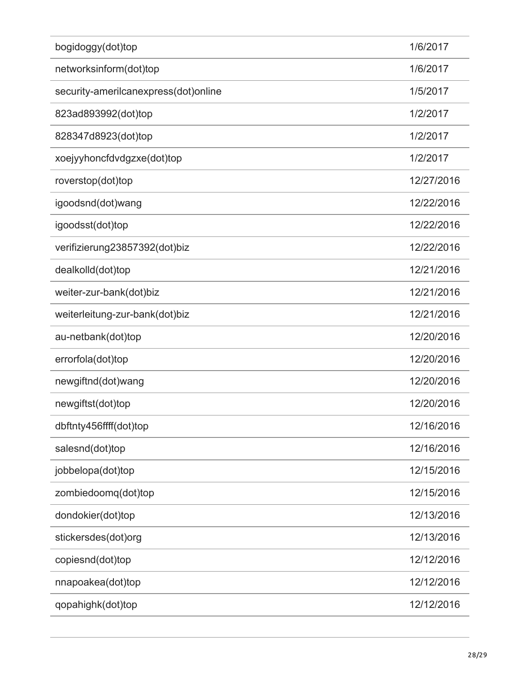| bogidoggy(dot)top                    | 1/6/2017   |
|--------------------------------------|------------|
| networksinform(dot)top               | 1/6/2017   |
| security-amerilcanexpress(dot)online | 1/5/2017   |
| 823ad893992(dot)top                  | 1/2/2017   |
| 828347d8923(dot)top                  | 1/2/2017   |
| xoejyyhoncfdvdgzxe(dot)top           | 1/2/2017   |
| roverstop(dot)top                    | 12/27/2016 |
| igoodsnd(dot)wang                    | 12/22/2016 |
| igoodsst(dot)top                     | 12/22/2016 |
| verifizierung23857392(dot)biz        | 12/22/2016 |
| dealkolld(dot)top                    | 12/21/2016 |
| weiter-zur-bank(dot)biz              | 12/21/2016 |
| weiterleitung-zur-bank(dot)biz       | 12/21/2016 |
| au-netbank(dot)top                   | 12/20/2016 |
| errorfola(dot)top                    | 12/20/2016 |
| newgiftnd(dot)wang                   | 12/20/2016 |
| newgiftst(dot)top                    | 12/20/2016 |
| dbftnty456ffff(dot)top               | 12/16/2016 |
| salesnd(dot)top                      | 12/16/2016 |
| jobbelopa(dot)top                    | 12/15/2016 |
| zombiedoomq(dot)top                  | 12/15/2016 |
| dondokier(dot)top                    | 12/13/2016 |
| stickersdes(dot)org                  | 12/13/2016 |
| copiesnd(dot)top                     | 12/12/2016 |
| nnapoakea(dot)top                    | 12/12/2016 |
| qopahighk(dot)top                    | 12/12/2016 |